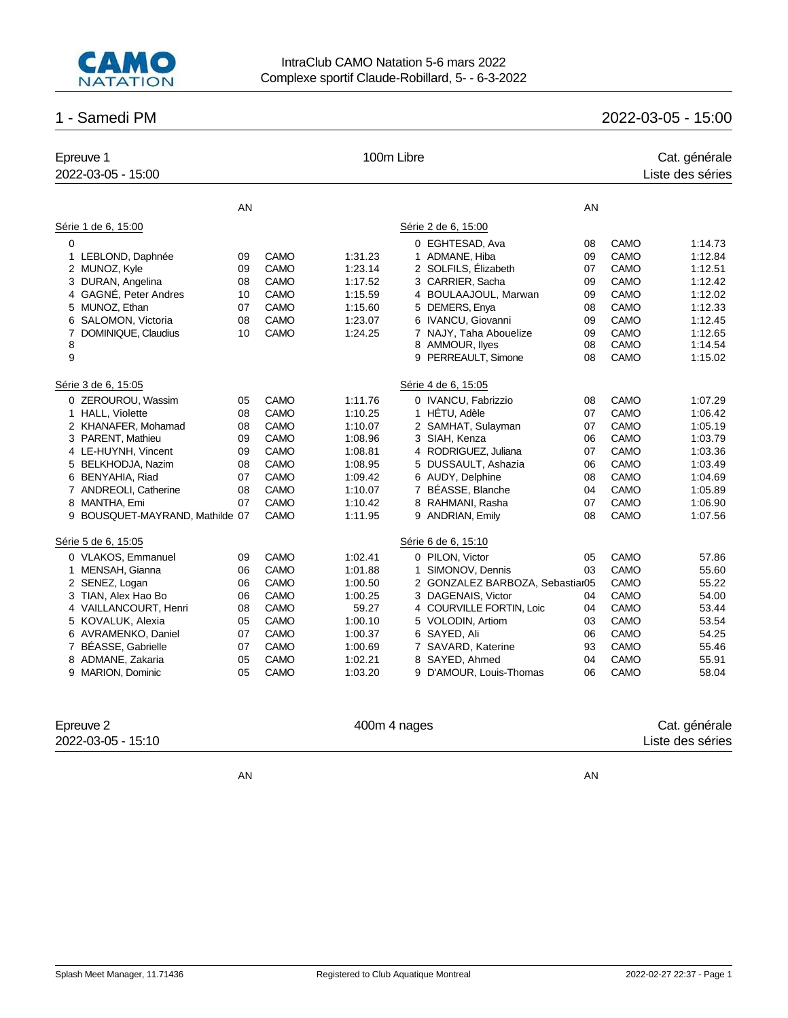

# 1 - Samedi PM 2022-03-05 - 15:00

| Epreuve 1<br>2022-03-05 - 15:00 |    |             | 100m Libre |                                 |    |      | Cat. générale<br>Liste des séries |
|---------------------------------|----|-------------|------------|---------------------------------|----|------|-----------------------------------|
|                                 | AN |             |            |                                 | AN |      |                                   |
| Série 1 de 6, 15:00             |    |             |            | Série 2 de 6, 15:00             |    |      |                                   |
| $\mathbf 0$                     |    |             |            | 0 EGHTESAD, Ava                 | 08 | CAMO | 1:14.73                           |
| LEBLOND, Daphnée<br>1           | 09 | CAMO        | 1:31.23    | 1 ADMANE, Hiba                  | 09 | CAMO | 1:12.84                           |
| 2 MUNOZ, Kyle                   | 09 | <b>CAMO</b> | 1:23.14    | 2 SOLFILS, Élizabeth            | 07 | CAMO | 1:12.51                           |
| 3 DURAN, Angelina               | 08 | CAMO        | 1:17.52    | 3 CARRIER, Sacha                | 09 | CAMO | 1:12.42                           |
| 4 GAGNÉ, Peter Andres           | 10 | <b>CAMO</b> | 1:15.59    | 4 BOULAAJOUL, Marwan            | 09 | CAMO | 1:12.02                           |
| 5 MUNOZ, Ethan                  | 07 | <b>CAMO</b> | 1:15.60    | DEMERS, Enya<br>5               | 08 | CAMO | 1:12.33                           |
| 6 SALOMON, Victoria             | 08 | CAMO        | 1:23.07    | 6 IVANCU, Giovanni              | 09 | CAMO | 1:12.45                           |
| DOMINIQUE, Claudius<br>7        | 10 | CAMO        | 1:24.25    | 7 NAJY, Taha Abouelize          | 09 | CAMO | 1:12.65                           |
| 8                               |    |             |            | 8 AMMOUR, llyes                 | 08 | CAMO | 1:14.54                           |
| 9                               |    |             |            | 9 PERREAULT, Simone             | 08 | CAMO | 1:15.02                           |
| Série 3 de 6, 15:05             |    |             |            | Série 4 de 6, 15:05             |    |      |                                   |
| 0 ZEROUROU, Wassim              | 05 | <b>CAMO</b> | 1:11.76    | 0 IVANCU, Fabrizzio             | 08 | CAMO | 1:07.29                           |
| 1 HALL, Violette                | 08 | <b>CAMO</b> | 1:10.25    | 1 HÉTU, Adèle                   | 07 | CAMO | 1:06.42                           |
| 2 KHANAFER, Mohamad             | 08 | CAMO        | 1:10.07    | 2 SAMHAT, Sulayman              | 07 | CAMO | 1:05.19                           |
| 3 PARENT, Mathieu               | 09 | CAMO        | 1:08.96    | 3 SIAH, Kenza                   | 06 | CAMO | 1:03.79                           |
| 4 LE-HUYNH, Vincent             | 09 | CAMO        | 1:08.81    | 4 RODRIGUEZ, Juliana            | 07 | CAMO | 1:03.36                           |
| 5 BELKHODJA, Nazim              | 08 | CAMO        | 1:08.95    | 5 DUSSAULT, Ashazia             | 06 | CAMO | 1:03.49                           |
| 6 BENYAHIA, Riad                | 07 | CAMO        | 1:09.42    | 6 AUDY, Delphine                | 08 | CAMO | 1:04.69                           |
| 7 ANDREOLI, Catherine           | 08 | <b>CAMO</b> | 1:10.07    | 7 BÉASSE, Blanche               | 04 | CAMO | 1:05.89                           |
| 8 MANTHA, Emi                   | 07 | CAMO        | 1:10.42    | 8 RAHMANI, Rasha                | 07 | CAMO | 1:06.90                           |
| 9 BOUSQUET-MAYRAND, Mathilde 07 |    | CAMO        | 1:11.95    | 9 ANDRIAN, Emily                | 08 | CAMO | 1:07.56                           |
| Série 5 de 6, 15:05             |    |             |            | Série 6 de 6, 15:10             |    |      |                                   |
| 0 VLAKOS, Emmanuel              | 09 | <b>CAMO</b> | 1:02.41    | 0 PILON, Victor                 | 05 | CAMO | 57.86                             |
| 1 MENSAH, Gianna                | 06 | CAMO        | 1:01.88    | 1 SIMONOV, Dennis               | 03 | CAMO | 55.60                             |
| 2 SENEZ, Logan                  | 06 | <b>CAMO</b> | 1:00.50    | 2 GONZALEZ BARBOZA, Sebastiar05 |    | CAMO | 55.22                             |
| 3 TIAN, Alex Hao Bo             | 06 | CAMO        | 1:00.25    | 3 DAGENAIS, Victor              | 04 | CAMO | 54.00                             |
| 4 VAILLANCOURT, Henri           | 08 | CAMO        | 59.27      | 4 COURVILLE FORTIN, Loic        | 04 | CAMO | 53.44                             |
| 5 KOVALUK, Alexia               | 05 | CAMO        | 1:00.10    | 5 VOLODIN, Artiom               | 03 | CAMO | 53.54                             |
| 6 AVRAMENKO, Daniel             | 07 | CAMO        | 1:00.37    | 6 SAYED, Ali                    | 06 | CAMO | 54.25                             |
| 7 BÉASSE, Gabrielle             | 07 | CAMO        | 1:00.69    | 7 SAVARD, Katerine              | 93 | CAMO | 55.46                             |
| 8 ADMANE, Zakaria               | 05 | CAMO        | 1:02.21    | 8 SAYED, Ahmed                  | 04 | CAMO | 55.91                             |
| 9 MARION, Dominic               | 05 | <b>CAMO</b> | 1:03.20    | 9 D'AMOUR, Louis-Thomas         | 06 | CAMO | 58.04                             |
|                                 |    |             |            |                                 |    |      |                                   |

Epreuve 2 Cat. générale 2022-03-05 - 15:10 Liste des séries

AN AN ANGLES ANGLES ANGLES ANGLES ANGLES ANGLES ANGLES ANGLES ANGLES ANGLES ANGLES ANGLES ANGLES ANGLES ANGLES ANGLES ANGLES ANGLES ANGLES ANGLES ANGLES ANGLES ANGLES ANGLES ANGLES ANGLES ANGLES ANGLES ANGLES ANGLES ANGLES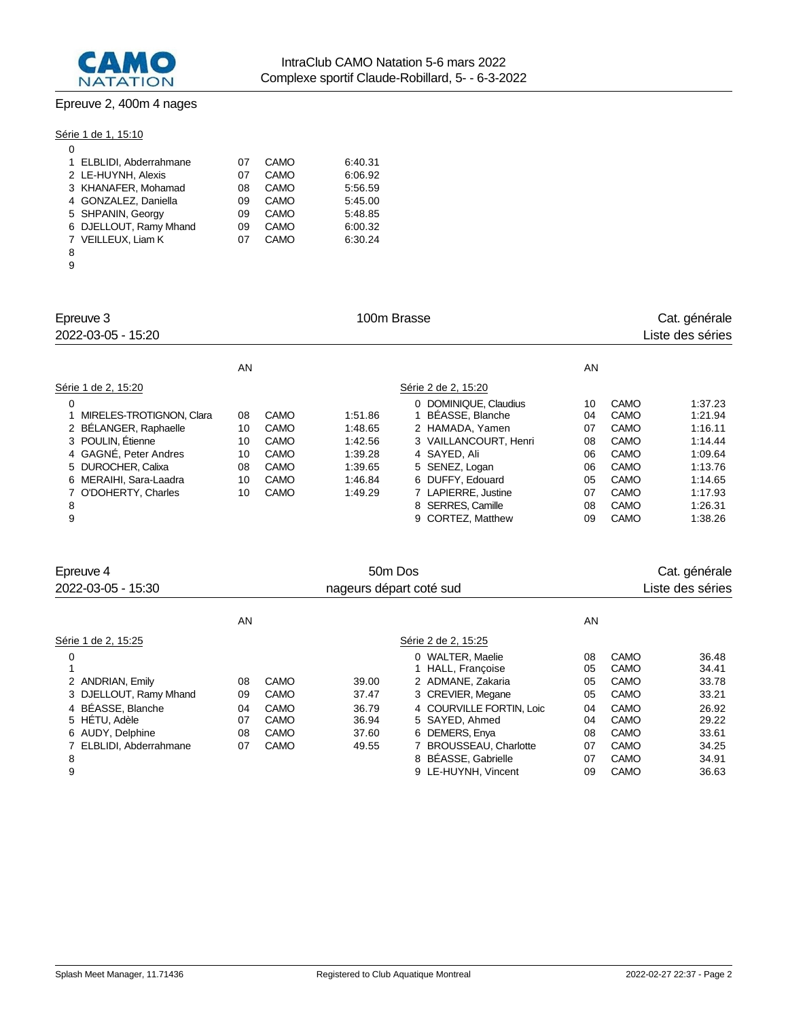

# Epreuve 2, 400m 4 nages

Série 1 de 1, 15:10

| 0                       |    |      |         |
|-------------------------|----|------|---------|
| 1 ELBLIDI, Abderrahmane | 07 | CAMO | 6:40.31 |
| 2 LE-HUYNH, Alexis      | 07 | CAMO | 6:06.92 |
| 3 KHANAFER, Mohamad     | 08 | CAMO | 5:56.59 |
| 4 GONZALEZ, Daniella    | 09 | CAMO | 5:45.00 |
| 5 SHPANIN, Georgy       | 09 | CAMO | 5:48.85 |
| 6 DJELLOUT, Ramy Mhand  | 09 | CAMO | 6:00.32 |
| 7 VEILLEUX. Liam K      | 07 | CAMO | 6:30.24 |
| 8                       |    |      |         |

| Epreuve 3<br>2022-03-05 - 15:20                                  |                |                             | 100m Brasse                   |                                                              | Cat. générale<br>Liste des séries |                      |                               |
|------------------------------------------------------------------|----------------|-----------------------------|-------------------------------|--------------------------------------------------------------|-----------------------------------|----------------------|-------------------------------|
|                                                                  | AN             |                             |                               |                                                              | AN                                |                      |                               |
| Série 1 de 2, 15:20                                              |                |                             |                               | Série 2 de 2, 15:20                                          |                                   |                      |                               |
| 0<br>MIRELES-TROTIGNON, Clara<br>2 BÉLANGER, Raphaelle           | 08<br>10       | CAMO<br><b>CAMO</b>         | 1:51.86<br>1:48.65            | 0 DOMINIQUE, Claudius<br>BÉASSE, Blanche<br>2 HAMADA, Yamen  | 10<br>04<br>07                    | CAMO<br>CAMO<br>CAMO | 1:37.23<br>1:21.94<br>1:16.11 |
| 3 POULIN, Etienne<br>4 GAGNÉ, Peter Andres<br>5 DUROCHER, Calixa | 10<br>10<br>08 | <b>CAMO</b><br>CAMO<br>CAMO | 1:42.56<br>1:39.28<br>1:39.65 | 3 VAILLANCOURT, Henri<br>4 SAYED, Ali<br>5 SENEZ, Logan      | 08<br>06<br>06                    | CAMO<br>CAMO<br>CAMO | 1:14.44<br>1:09.64<br>1:13.76 |
| 6 MERAIHI, Sara-Laadra<br>7 O'DOHERTY, Charles<br>8              | 10<br>10       | <b>CAMO</b><br>CAMO         | 1:46.84<br>1:49.29            | 6 DUFFY, Edouard<br>7 LAPIERRE, Justine<br>8 SERRES, Camille | 05<br>07<br>08                    | CAMO<br>CAMO<br>CAMO | 1:14.65<br>1:17.93<br>1:26.31 |
| 9                                                                |                |                             |                               | 9 CORTEZ, Matthew                                            | 09                                | CAMO                 | 1:38.26                       |

9 CORTEZ, Matthew 09 CAMO 1:38.26

| Epreuve 4<br>2022-03-05 - 15:30 | 50 <sub>m</sub> Dos<br>nageurs départ coté sud |      |       |                          |    |      | Cat. générale<br>Liste des séries |  |
|---------------------------------|------------------------------------------------|------|-------|--------------------------|----|------|-----------------------------------|--|
|                                 | AN                                             |      |       |                          | AN |      |                                   |  |
| Série 1 de 2, 15:25             |                                                |      |       | Série 2 de 2, 15:25      |    |      |                                   |  |
| 0                               |                                                |      |       | 0 WALTER, Maelie         | 08 | CAMO | 36.48                             |  |
|                                 |                                                |      |       | 1 HALL, Francoise        | 05 | CAMO | 34.41                             |  |
| 2 ANDRIAN, Emily                | 08                                             | CAMO | 39.00 | 2 ADMANE, Zakaria        | 05 | CAMO | 33.78                             |  |
| 3 DJELLOUT, Ramy Mhand          | 09                                             | CAMO | 37.47 | 3 CREVIER, Megane        | 05 | CAMO | 33.21                             |  |
| 4 BÉASSE, Blanche               | 04                                             | CAMO | 36.79 | 4 COURVILLE FORTIN, Loic | 04 | CAMO | 26.92                             |  |
| 5 HÉTU, Adèle                   | 07                                             | CAMO | 36.94 | 5 SAYED, Ahmed           | 04 | CAMO | 29.22                             |  |
| 6 AUDY, Delphine                | 08                                             | CAMO | 37.60 | 6 DEMERS, Enya           | 08 | CAMO | 33.61                             |  |
| 7 ELBLIDI, Abderrahmane         | 07                                             | CAMO | 49.55 | 7 BROUSSEAU, Charlotte   | 07 | CAMO | 34.25                             |  |
| 8                               |                                                |      |       | 8 BÉASSE, Gabrielle      | 07 | CAMO | 34.91                             |  |
| 9                               |                                                |      |       | 9 LE-HUYNH, Vincent      | 09 | CAMO | 36.63                             |  |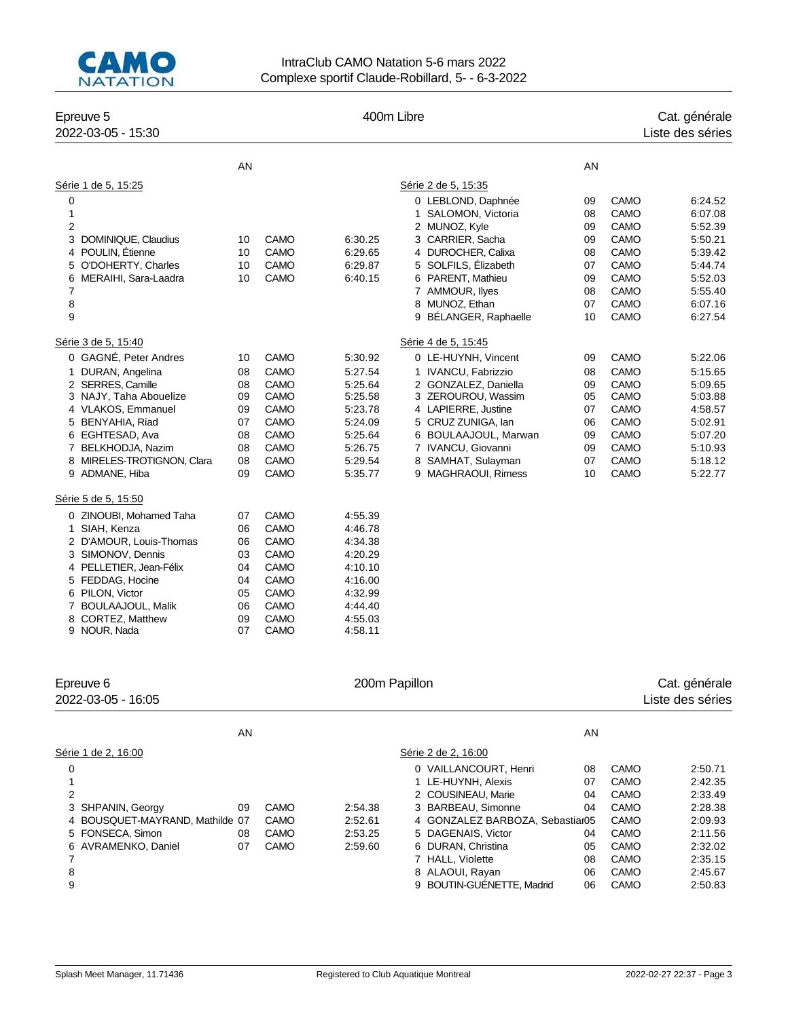

### IntraClub CAMO Natation 5-6 mars 2022 Complexe sportif Claude-Robillard, 5- - 6-3-2022

| Epreuve 5<br>2022-03-05 - 15:30                  |          |              |                    | 400m Libre                                |          |              | Cat. générale<br>Liste des séries |
|--------------------------------------------------|----------|--------------|--------------------|-------------------------------------------|----------|--------------|-----------------------------------|
|                                                  | AN       |              |                    |                                           |          |              |                                   |
|                                                  |          |              |                    |                                           | AN       |              |                                   |
| Série 1 de 5, 15:25<br>0                         |          |              |                    | Série 2 de 5, 15:35<br>0 LEBLOND, Daphnée | 09       | CAMO         | 6:24.52                           |
| $\mathbf{1}$                                     |          |              |                    | 1 SALOMON, Victoria                       | 08       | <b>CAMO</b>  | 6:07.08                           |
| $\overline{2}$                                   |          |              |                    | 2 MUNOZ, Kyle                             | 09       | CAMO         | 5:52.39                           |
| 3<br>DOMINIQUE, Claudius                         | 10       | CAMO         | 6:30.25            | 3 CARRIER, Sacha                          | 09       | CAMO         | 5:50.21                           |
| 4 POULIN, Étienne                                | 10       | CAMO         | 6:29.65            | 4 DUROCHER, Calixa                        | 08       | CAMO         | 5:39.42                           |
| 5 O'DOHERTY, Charles                             | 10       | CAMO         | 6:29.87            | 5 SOLFILS, Elizabeth                      | 07       | CAMO         | 5:44.74                           |
| 6 MERAIHI, Sara-Laadra                           | 10       | CAMO         | 6:40.15            | 6 PARENT, Mathieu                         | 09       | CAMO         | 5:52.03                           |
| $\overline{7}$                                   |          |              |                    | 7 AMMOUR, llyes                           | 08       | CAMO         | 5:55.40                           |
| 8                                                |          |              |                    | 8 MUNOZ, Ethan                            | 07       | CAMO         | 6:07.16                           |
| 9                                                |          |              |                    | 9 BÉLANGER, Raphaelle                     | 10       | CAMO         | 6:27.54                           |
| Série 3 de 5, 15:40                              |          |              |                    | Série 4 de 5, 15:45                       |          |              |                                   |
| 0 GAGNÉ, Peter Andres                            | 10       | CAMO         | 5:30.92            | 0 LE-HUYNH, Vincent                       | 09       | <b>CAMO</b>  | 5:22.06                           |
| 1 DURAN, Angelina                                | 08       | CAMO         | 5:27.54            | 1 IVANCU, Fabrizzio                       | 08       | CAMO         | 5:15.65                           |
| 2 SERRES, Camille                                | 08       | CAMO         | 5:25.64            | 2 GONZALEZ, Daniella                      | 09       | CAMO         | 5:09.65                           |
| 3 NAJY, Taha Abouelize                           | 09       | CAMO         | 5:25.58            | 3 ZEROUROU, Wassim                        | 05       | CAMO         | 5:03.88                           |
| 4 VLAKOS, Emmanuel                               | 09       | CAMO         | 5:23.78            | 4 LAPIERRE, Justine                       | 07       | CAMO         | 4:58.57                           |
| 5 BENYAHIA, Riad                                 | 07       | CAMO         | 5:24.09            | 5 CRUZ ZUNIGA, lan                        | 06       | CAMO         | 5:02.91                           |
| 6 EGHTESAD, Ava                                  | 08       | CAMO         | 5:25.64            | 6 BOULAAJOUL, Marwan                      | 09       | CAMO         | 5:07.20                           |
| 7 BELKHODJA, Nazim<br>8 MIRELES-TROTIGNON, Clara | 08       | CAMO<br>CAMO | 5:26.75            | 7 IVANCU, Giovanni<br>8 SAMHAT, Sulayman  | 09<br>07 | CAMO         | 5:10.93<br>5:18.12                |
| 9 ADMANE, Hiba                                   | 08<br>09 | CAMO         | 5.29.54<br>5:35.77 | 9 MAGHRAOUI, Rimess                       | 10       | CAMO<br>CAMO | 5:22.77                           |
| Série 5 de 5, 15:50                              |          |              |                    |                                           |          |              |                                   |
| 0 ZINOUBI, Mohamed Taha                          | 07       | CAMO         | 4:55.39            |                                           |          |              |                                   |
| SIAH, Kenza<br>$\mathbf{1}$                      | 06       | CAMO         | 4:46.78            |                                           |          |              |                                   |
| 2 D'AMOUR, Louis-Thomas                          | 06       | <b>CAMO</b>  | 4:34.38            |                                           |          |              |                                   |
| 3 SIMONOV, Dennis                                | 03       | CAMO         | 4:20.29            |                                           |          |              |                                   |
| 4 PELLETIER, Jean-Félix                          | 04       | CAMO         | 4:10.10            |                                           |          |              |                                   |
| 5 FEDDAG, Hocine                                 | 04       | <b>CAMO</b>  | 4:16.00            |                                           |          |              |                                   |
| 6 PILON, Victor                                  | 05       | CAMO         | 4:32.99            |                                           |          |              |                                   |
| 7 BOULAAJOUL, Malik                              | 06       | CAMO         | 4:44.40            |                                           |          |              |                                   |
| 8 CORTEZ, Matthew                                | 09       | CAMO         | 4:55.03            |                                           |          |              |                                   |
| 9 NOUR, Nada                                     | 07       | <b>CAMO</b>  | 4:58.11            |                                           |          |              |                                   |
| Epreuve 6                                        |          |              |                    | 200m Papillon                             |          |              |                                   |
| 2022-03-05 - 16:05                               |          |              |                    |                                           |          |              | Cat. générale<br>Liste des séries |
|                                                  |          |              |                    |                                           |          |              |                                   |
|                                                  | AN       |              |                    |                                           | AN       |              |                                   |
| Série 1 de 2, 16:00                              |          |              |                    | Série 2 de 2, 16:00                       |          |              |                                   |
| 0                                                |          |              |                    | 0 VAILLANCOURT, Henri                     | 08       | CAMO         | 2:50.71                           |
| 1<br>$\mathfrak{p}$                              |          |              |                    | 1 LE-HUYNH, Alexis<br>2 COUSINFAU, Marie  | 07<br>04 | CAMO<br>CAMO | 2:42.35<br>2:33.49                |

 SHPANIN, Georgy 09 CAMO 2:54.38 3 BARBEAU, Simonne 04 CAMO 2:28.38 BOUSQUET-MAYRAND, Mathilde 07 CAMO 2:52.61 4 GONZALEZ BARBOZA, Sebastian05 CAMO 2:09.93

 AVRAMENKO, Daniel 07 CAMO 2:59.60 6 DURAN, Christina 05 CAMO 2:32.02 7 HALL, Violette 08 CAMO 2:35.15 **8 ALAOUI, Rayan 06 CAMO** 2:45.67 9 BOUTIN-GUÉNETTE, Madrid 06 CAMO 2:50.83

2 COUSINEAU, Marie

08 CAMO 2:53.25 5 DAGENAIS, Victor 04 CAMO 2:11.56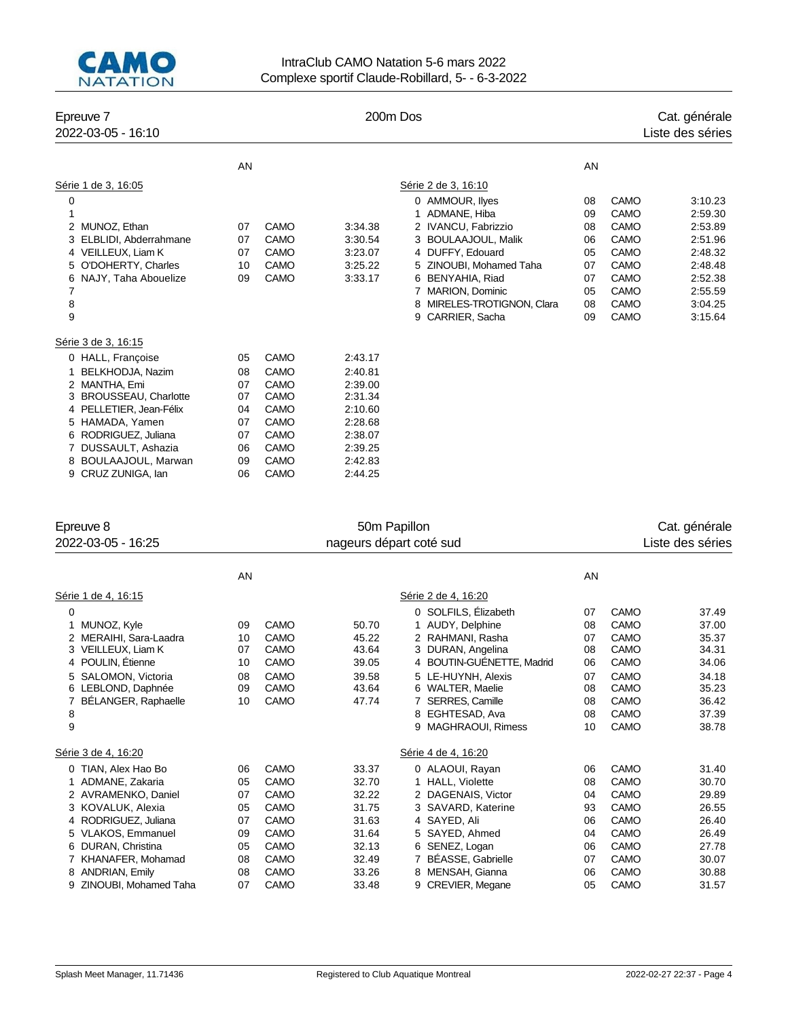

# IntraClub CAMO Natation 5-6 mars 2022 Complexe sportif Claude-Robillard, 5- - 6-3-2022

| Epreuve 7<br>2022-03-05 - 16:10  |    |             | 200m Dos |                               |    |             | Cat. générale<br>Liste des séries |
|----------------------------------|----|-------------|----------|-------------------------------|----|-------------|-----------------------------------|
|                                  | AN |             |          |                               | AN |             |                                   |
| Série 1 de 3, 16:05              |    |             |          | Série 2 de 3, 16:10           |    |             |                                   |
| 0                                |    |             |          | 0 AMMOUR, lives               | 08 | CAMO        | 3:10.23                           |
| 1                                |    |             |          | ADMANE, Hiba                  | 09 | CAMO        | 2:59.30                           |
| MUNOZ, Ethan<br>2                | 07 | CAMO        | 3:34.38  | 2 IVANCU, Fabrizzio           | 08 | CAMO        | 2:53.89                           |
| ELBLIDI, Abderrahmane<br>3       | 07 | CAMO        | 3:30.54  | 3 BOULAAJOUL, Malik           | 06 | <b>CAMO</b> | 2:51.96                           |
| VEILLEUX, Liam K<br>4            | 07 | CAMO        | 3:23.07  | 4 DUFFY, Edouard              | 05 | CAMO        | 2:48.32                           |
| O'DOHERTY, Charles<br>5          | 10 | CAMO        | 3:25.22  | 5 ZINOUBI, Mohamed Taha       | 07 | <b>CAMO</b> | 2:48.48                           |
| NAJY, Taha Abouelize<br>6        | 09 | CAMO        | 3:33.17  | 6 BENYAHIA, Riad              | 07 | CAMO        | 2:52.38                           |
| 7                                |    |             |          | 7 MARION, Dominic             | 05 | <b>CAMO</b> | 2:55.59                           |
| 8                                |    |             |          | MIRELES-TROTIGNON, Clara<br>8 | 08 | <b>CAMO</b> | 3:04.25                           |
| 9                                |    |             |          | CARRIER, Sacha<br>9           | 09 | <b>CAMO</b> | 3:15.64                           |
| Série 3 de 3, 16:15              |    |             |          |                               |    |             |                                   |
| 0 HALL, Françoise                | 05 | CAMO        | 2:43.17  |                               |    |             |                                   |
| BELKHODJA, Nazim                 | 08 | CAMO        | 2:40.81  |                               |    |             |                                   |
| MANTHA. Emi<br>2                 | 07 | CAMO        | 2:39.00  |                               |    |             |                                   |
| <b>BROUSSEAU, Charlotte</b><br>3 | 07 | <b>CAMO</b> | 2:31.34  |                               |    |             |                                   |
| PELLETIER, Jean-Félix<br>4       | 04 | <b>CAMO</b> | 2:10.60  |                               |    |             |                                   |
| HAMADA, Yamen<br>5               | 07 | CAMO        | 2:28.68  |                               |    |             |                                   |
| RODRIGUEZ, Juliana<br>6          | 07 | CAMO        | 2:38.07  |                               |    |             |                                   |
| DUSSAULT, Ashazia<br>7           | 06 | CAMO        | 2:39.25  |                               |    |             |                                   |
| BOULAAJOUL, Marwan<br>8          | 09 | <b>CAMO</b> | 2:42.83  |                               |    |             |                                   |
| CRUZ ZUNIGA, Ian<br>9            | 06 | CAMO        | 2:44.25  |                               |    |             |                                   |

| Epreuve 8                                                                                                                                                                    |                                              | 50m Papillon                                                               |                                                                      |                                                                                                                                                                                                                               |                                                          |                                                                              | Cat. générale                                                                          |
|------------------------------------------------------------------------------------------------------------------------------------------------------------------------------|----------------------------------------------|----------------------------------------------------------------------------|----------------------------------------------------------------------|-------------------------------------------------------------------------------------------------------------------------------------------------------------------------------------------------------------------------------|----------------------------------------------------------|------------------------------------------------------------------------------|----------------------------------------------------------------------------------------|
| 2022-03-05 - 16:25                                                                                                                                                           |                                              | nageurs départ coté sud                                                    |                                                                      |                                                                                                                                                                                                                               |                                                          |                                                                              |                                                                                        |
|                                                                                                                                                                              | AN                                           |                                                                            |                                                                      |                                                                                                                                                                                                                               | AN                                                       |                                                                              |                                                                                        |
| Série 1 de 4, 16:15                                                                                                                                                          |                                              |                                                                            |                                                                      | Série 2 de 4, 16:20                                                                                                                                                                                                           |                                                          |                                                                              |                                                                                        |
| 0<br>MUNOZ, Kyle<br>2 MERAIHI, Sara-Laadra<br>VEILLEUX, Liam K<br>3<br>4 POULIN, Etienne<br>SALOMON, Victoria<br>LEBLOND, Daphnée<br>6<br>BÉLANGER, Raphaelle<br>8<br>9      | 09<br>10<br>07<br>10<br>08<br>09<br>10       | CAMO<br>CAMO<br>CAMO<br>CAMO<br>CAMO<br>CAMO<br>CAMO                       | 50.70<br>45.22<br>43.64<br>39.05<br>39.58<br>43.64<br>47.74          | 0 SOLFILS, Élizabeth<br>1 AUDY, Delphine<br>2 RAHMANI, Rasha<br>3 DURAN, Angelina<br>4 BOUTIN-GUENETTE, Madrid<br>5 LE-HUYNH, Alexis<br>6 WALTER, Maelie<br>7 SERRES, Camille<br>EGHTESAD, Ava<br>8<br>MAGHRAOUI, Rimess<br>9 | 07<br>08<br>07<br>08<br>06<br>07<br>08<br>08<br>08<br>10 | CAMO<br>CAMO<br>CAMO<br>CAMO<br>CAMO<br>CAMO<br>CAMO<br>CAMO<br>CAMO<br>CAMO | 37.49<br>37.00<br>35.37<br>34.31<br>34.06<br>34.18<br>35.23<br>36.42<br>37.39<br>38.78 |
| Série 3 de 4, 16:20                                                                                                                                                          |                                              |                                                                            |                                                                      | Série 4 de 4, 16:20                                                                                                                                                                                                           |                                                          |                                                                              |                                                                                        |
| 0 TIAN, Alex Hao Bo<br>ADMANE, Zakaria<br>2 AVRAMENKO, Daniel<br>KOVALUK, Alexia<br>4 RODRIGUEZ, Juliana<br>5 VLAKOS, Emmanuel<br>DURAN, Christina<br>6<br>KHANAFER, Mohamad | 06<br>05<br>07<br>05<br>07<br>09<br>05<br>08 | CAMO<br>CAMO<br>CAMO<br>CAMO<br><b>CAMO</b><br>CAMO<br><b>CAMO</b><br>CAMO | 33.37<br>32.70<br>32.22<br>31.75<br>31.63<br>31.64<br>32.13<br>32.49 | 0 ALAOUI, Rayan<br>1 HALL, Violette<br>2 DAGENAIS, Victor<br>3 SAVARD, Katerine<br>4 SAYED, Ali<br>5 SAYED, Ahmed<br>6 SENEZ, Logan<br>7 BÉASSE, Gabrielle                                                                    | 06<br>08<br>04<br>93<br>06<br>04<br>06<br>07             | CAMO<br>CAMO<br>CAMO<br>CAMO<br>CAMO<br>CAMO<br>CAMO<br>CAMO                 | 31.40<br>30.70<br>29.89<br>26.55<br>26.40<br>26.49<br>27.78<br>30.07                   |
| <b>ANDRIAN, Emily</b><br>ZINOUBI, Mohamed Taha<br>9                                                                                                                          | 08<br>07                                     | CAMO<br>CAMO                                                               | 33.26<br>33.48                                                       | 8 MENSAH, Gianna<br>9 CREVIER, Megane                                                                                                                                                                                         | 06<br>05                                                 | CAMO<br>CAMO                                                                 | 30.88<br>31.57                                                                         |